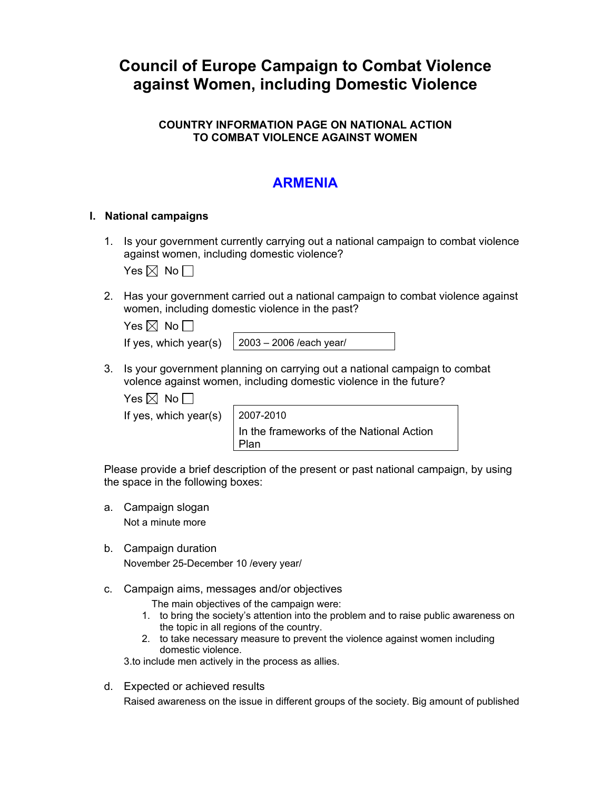# **Council of Europe Campaign to Combat Violence against Women, including Domestic Violence**

### **COUNTRY INFORMATION PAGE ON NATIONAL ACTION TO COMBAT VIOLENCE AGAINST WOMEN**

## **ARMENIA**

#### **I. National campaigns**

1. Is your government currently carrying out a national campaign to combat violence against women, including domestic violence?

Yes  $\boxtimes$  No  $\Box$ 

2. Has your government carried out a national campaign to combat violence against women, including domestic violence in the past?

| Yes $\boxtimes$ No $\Box$ |  |  |
|---------------------------|--|--|
|                           |  |  |

If yes, which year(s)  $\left| 2003 - 2006 \right|$  /each year/

3. Is your government planning on carrying out a national campaign to combat volence against women, including domestic violence in the future?

Yes  $\boxtimes$  No  $\Box$ 

If yes, which year(s)  $\vert$  2007-2010

In the frameworks of the National Action Plan

Please provide a brief description of the present or past national campaign, by using the space in the following boxes:

- a. Campaign slogan Not a minute more
- b. Campaign duration November 25-December 10 /every year/
- c. Campaign aims, messages and/or objectives
	- The main objectives of the campaign were:
	- 1. to bring the society's attention into the problem and to raise public awareness on the topic in all regions of the country.
	- 2. to take necessary measure to prevent the violence against women including domestic violence.

3.to include men actively in the process as allies.

d. Expected or achieved results

Raised awareness on the issue in different groups of the society. Big amount of published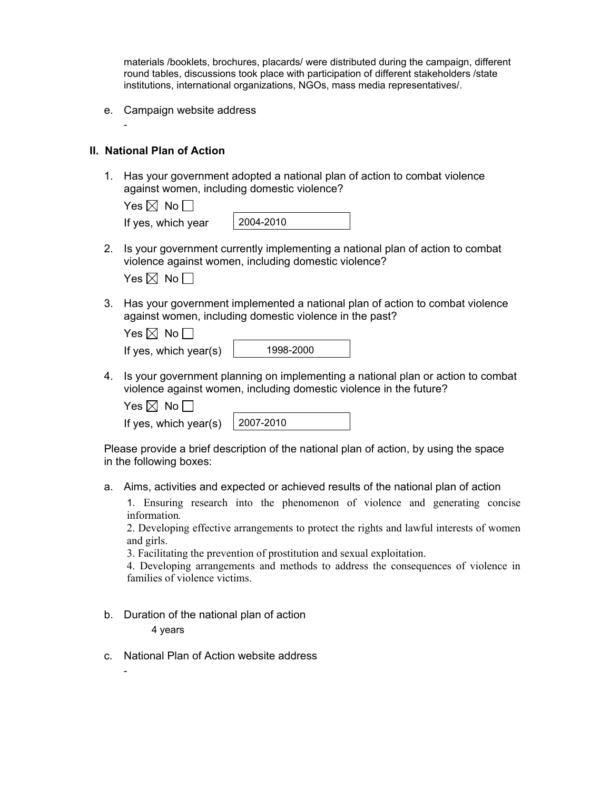materials /booklets, brochures, placards/ were distributed during the campaign, different round tables, discussions took place with participation of different stakeholders /state institutions, international organizations, NGOs, mass media representatives/.

e. Campaign website address

#### **II. National Plan of Action**

-

1. Has your government adopted a national plan of action to combat violence against women, including domestic violence?

| Yes $\boxtimes$ No $\Box$ |           |
|---------------------------|-----------|
| If yes, which year        | 2004-2010 |

- 2. Is your government currently implementing a national plan of action to combat violence against women, including domestic violence?
	- Yes  $\boxtimes$  No  $\Box$
- 3. Has your government implemented a national plan of action to combat violence against women, including domestic violence in the past?

| 1998-20 |
|---------|
|         |

4. Is your government planning on implementing a national plan or action to combat violence against women, including domestic violence in the future?

Yes  $\boxtimes$  No  $\Box$ 

If yes, which year(s)  $\vert$  2007-2010

Please provide a brief description of the national plan of action, by using the space in the following boxes:

a. Aims, activities and expected or achieved results of the national plan of action

1. Ensuring research into the phenomenon of violence and generating concise information*.*

2. Developing effective arrangements to protect the rights and lawful interests of women and girls.

3. Facilitating the prevention of prostitution and sexual exploitation.

4. Developing arrangements and methods to address the consequences of violence in families of violence victims.

b. Duration of the national plan of action 4 years

c. National Plan of Action website address

-